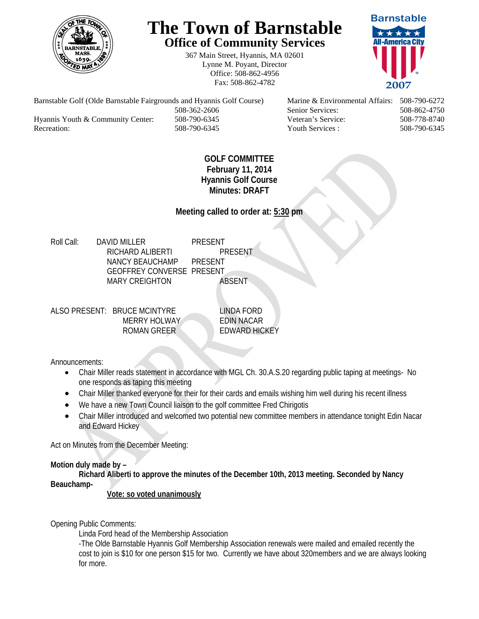

## **The Town of Barnstable Office of Community Services**

367 Main Street, Hyannis, MA 02601 Lynne M. Poyant, Director Office: 508-862-4956 Fax: 508-862-4782



Barnstable Golf (Olde Barnstable Fairgrounds and Hyannis Golf Course) Marine & Environmental Affairs: 508-790-6272 508-362-2606 Senior Services: 508-862-4750 Hyannis Youth & Community Center: 508-790-6345 Veteran's Service: 508-778-8740 Recreation: 508-790-6345 Youth Services : 508-790-6345 S08-790-6345

## **GOLF COMMITTEE February 11, 2014 Hyannis Golf Course Minutes: DRAFT**

**Meeting called to order at: 5:30 pm** 

Roll Call: DAVID MILLER PRESENT RICHARD ALIBERTI PRESENT NANCY BEAUCHAMP PRESENT GEOFFREY CONVERSE PRESENT MARY CREIGHTON **ABSENT** 

ALSO PRESENT: BRUCE MCINTYRE LINDA FORD MERRY HOLWAY **EDIN NACAR** ROMAN GREER EDWARD HICKEY

Announcements:

- Chair Miller reads statement in accordance with MGL Ch. 30.A.S.20 regarding public taping at meetings- No one responds as taping this meeting
- Chair Miller thanked everyone for their for their cards and emails wishing him well during his recent illness
- We have a new Town Council liaison to the golf committee Fred Chirigotis
- Chair Miller introduced and welcomed two potential new committee members in attendance tonight Edin Nacar and Edward Hickey

Act on Minutes from the December Meeting:

## **Motion duly made by –**

**Richard Aliberti to approve the minutes of the December 10th, 2013 meeting. Seconded by Nancy Beauchamp-**

**Vote: so voted unanimously**

Opening Public Comments:

Linda Ford head of the Membership Association

-The Olde Barnstable Hyannis Golf Membership Association renewals were mailed and emailed recently the cost to join is \$10 for one person \$15 for two. Currently we have about 320members and we are always looking for more.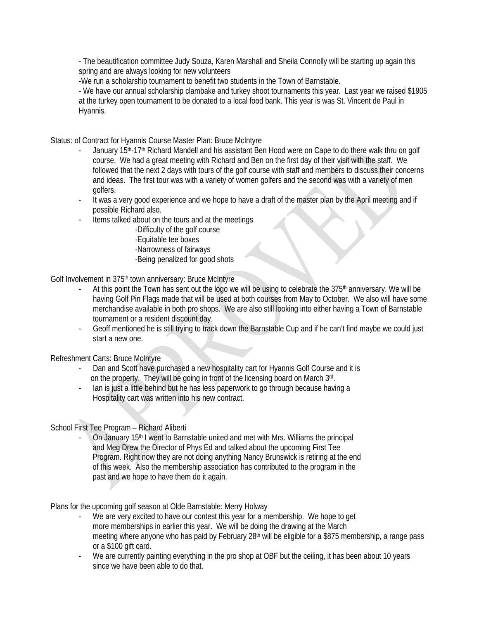- The beautification committee Judy Souza, Karen Marshall and Sheila Connolly will be starting up again this spring and are always looking for new volunteers

-We run a scholarship tournament to benefit two students in the Town of Barnstable.

- We have our annual scholarship clambake and turkey shoot tournaments this year. Last year we raised \$1905 at the turkey open tournament to be donated to a local food bank. This year is was St. Vincent de Paul in Hyannis.

Status: of Contract for Hyannis Course Master Plan: Bruce McIntyre

- January 15<sup>th</sup>-17<sup>th</sup> Richard Mandell and his assistant Ben Hood were on Cape to do there walk thru on golf course. We had a great meeting with Richard and Ben on the first day of their visit with the staff. We followed that the next 2 days with tours of the golf course with staff and members to discuss their concerns and ideas. The first tour was with a variety of women golfers and the second was with a variety of men golfers.
- It was a very good experience and we hope to have a draft of the master plan by the April meeting and if possible Richard also.
- Items talked about on the tours and at the meetings
	- -Difficulty of the golf course
	- -Equitable tee boxes
	- -Narrowness of fairways
	- -Being penalized for good shots

Golf Involvement in 375<sup>th</sup> town anniversary: Bruce McIntyre

- At this point the Town has sent out the logo we will be using to celebrate the 375<sup>th</sup> anniversary. We will be having Golf Pin Flags made that will be used at both courses from May to October. We also will have some merchandise available in both pro shops. We are also still looking into either having a Town of Barnstable tournament or a resident discount day.
- Geoff mentioned he is still trying to track down the Barnstable Cup and if he can't find maybe we could just start a new one.

Refreshment Carts: Bruce McIntyre

- Dan and Scott have purchased a new hospitality cart for Hyannis Golf Course and it is on the property. They will be going in front of the licensing board on March 3rd.
- lan is just a little behind but he has less paperwork to go through because having a Hospitality cart was written into his new contract.

School First Tee Program – Richard Aliberti

On January 15<sup>th</sup> I went to Barnstable united and met with Mrs. Williams the principal and Meg Drew the Director of Phys Ed and talked about the upcoming First Tee Program. Right now they are not doing anything Nancy Brunswick is retiring at the end of this week. Also the membership association has contributed to the program in the past and we hope to have them do it again.

Plans for the upcoming golf season at Olde Barnstable: Merry Holway

- We are very excited to have our contest this year for a membership. We hope to get more memberships in earlier this year. We will be doing the drawing at the March meeting where anyone who has paid by February 28<sup>th</sup> will be eligible for a \$875 membership, a range pass or a \$100 gift card.
- We are currently painting everything in the pro shop at OBF but the ceiling, it has been about 10 years since we have been able to do that.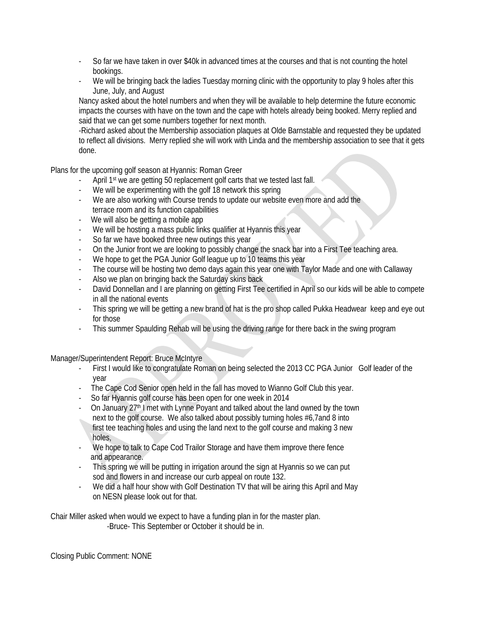- So far we have taken in over \$40k in advanced times at the courses and that is not counting the hotel bookings.
- We will be bringing back the ladies Tuesday morning clinic with the opportunity to play 9 holes after this June, July, and August

Nancy asked about the hotel numbers and when they will be available to help determine the future economic impacts the courses with have on the town and the cape with hotels already being booked. Merry replied and said that we can get some numbers together for next month.

-Richard asked about the Membership association plaques at Olde Barnstable and requested they be updated to reflect all divisions. Merry replied she will work with Linda and the membership association to see that it gets done.

Plans for the upcoming golf season at Hyannis: Roman Greer

- April 1<sup>st</sup> we are getting 50 replacement golf carts that we tested last fall.
- We will be experimenting with the golf 18 network this spring
- We are also working with Course trends to update our website even more and add the terrace room and its function capabilities
- We will also be getting a mobile app
- We will be hosting a mass public links qualifier at Hyannis this year
- So far we have booked three new outings this year
- On the Junior front we are looking to possibly change the snack bar into a First Tee teaching area.
- We hope to get the PGA Junior Golf league up to 10 teams this year
- The course will be hosting two demo days again this year one with Taylor Made and one with Callaway
- Also we plan on bringing back the Saturday skins back
- David Donnellan and I are planning on getting First Tee certified in April so our kids will be able to compete in all the national events
- This spring we will be getting a new brand of hat is the pro shop called Pukka Headwear keep and eye out for those
- This summer Spaulding Rehab will be using the driving range for there back in the swing program

Manager/Superintendent Report: Bruce McIntyre

- First I would like to congratulate Roman on being selected the 2013 CC PGA Junior Golf leader of the year
- The Cape Cod Senior open held in the fall has moved to Wianno Golf Club this year.
- So far Hyannis golf course has been open for one week in 2014
- On January 27<sup>th</sup> I met with Lynne Poyant and talked about the land owned by the town next to the golf course. We also talked about possibly turning holes #6,7and 8 into first tee teaching holes and using the land next to the golf course and making 3 new holes,
- We hope to talk to Cape Cod Trailor Storage and have them improve there fence and appearance.
- This spring we will be putting in irrigation around the sign at Hyannis so we can put sod and flowers in and increase our curb appeal on route 132.
- We did a half hour show with Golf Destination TV that will be airing this April and May on NESN please look out for that.

Chair Miller asked when would we expect to have a funding plan in for the master plan. -Bruce- This September or October it should be in.

Closing Public Comment: NONE